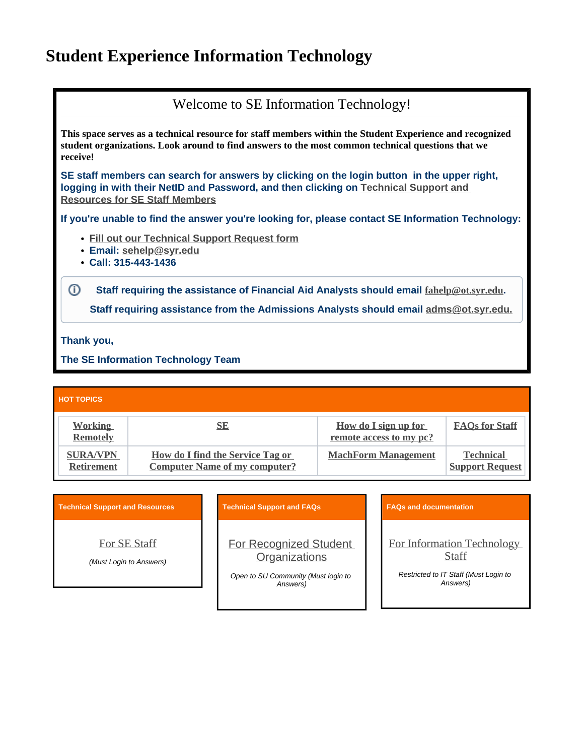## **Student Experience Information Technology**

Welcome to SE Information Technology! **This space serves as a technical resource for staff members within the Student Experience and recognized student organizations. Look around to find answers to the most common technical questions that we receive! SE staff members can search for answers by clicking on the login button in the upper right, logging in with their NetID and Password, and then clicking on [Technical Support and](https://answers.syr.edu/display/SEIT/FAQs+for+Staff)  [Resources for SE Staff Members](https://answers.syr.edu/display/SEIT/FAQs+for+Staff) If you're unable to find the answer you're looking for, please contact SE Information Technology: [Fill out our Technical Support Request form](https://answers.syr.edu/display/SEIT/Technical+Support+Request) Email: [sehelp@syr.edu](mailto:sehelp@syr.edu) Call: 315-443-1436** ⊙ **Staff requiring the assistance of Financial Aid Analysts should email [fahelp@ot.syr.edu](mailto:fahelp@ot.syr.edu). Staff requiring assistance from the Admissions Analysts should email [adms@ot.syr.edu.](mailto:adms@ot.syr.edu.)**

**Thank you,**

**The SE Information Technology Team**

| <b>HOT TOPICS</b>                    |                                                                                 |                                                 |                                            |  |
|--------------------------------------|---------------------------------------------------------------------------------|-------------------------------------------------|--------------------------------------------|--|
| <b>Working</b><br><b>Remotely</b>    | <u>SE</u>                                                                       | How do I sign up for<br>remote access to my pc? | <b>FAOs for Staff</b>                      |  |
| <b>SURA/VPN</b><br><b>Retirement</b> | <b>How do I find the Service Tag or</b><br><b>Computer Name of my computer?</b> | <b>MachForm Management</b>                      | <b>Technical</b><br><b>Support Request</b> |  |

| <b>Technical Support and Resources</b>  | <b>Technical Support and FAQs</b>                                                          | <b>FAQs and documentation</b>                                                            |
|-----------------------------------------|--------------------------------------------------------------------------------------------|------------------------------------------------------------------------------------------|
| For SE Staff<br>(Must Login to Answers) | For Recognized Student<br>Organizations<br>Open to SU Community (Must login to<br>Answers) | For Information Technology<br>Staff<br>Restricted to IT Staff (Must Login to<br>Answers) |